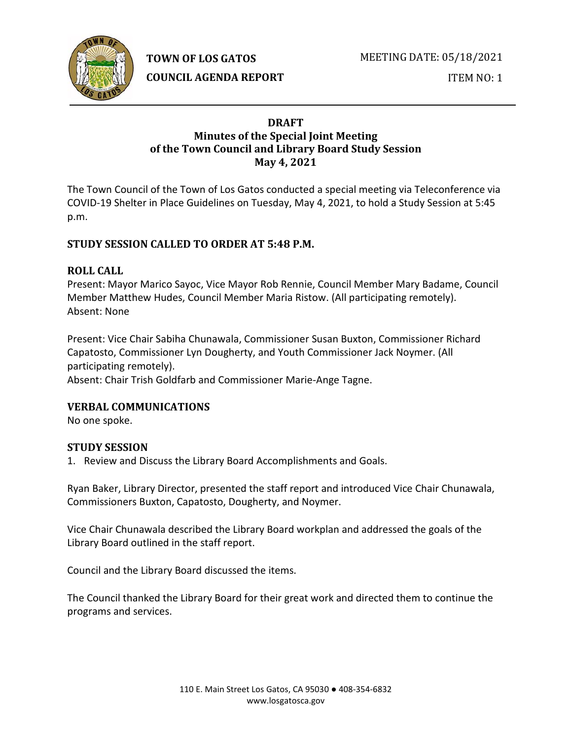

**TOWN OF LOS GATOS** 

**COUNCIL AGENDA REPORT**

MEETING DATE: 05/18/2021

ITEM NO: 1

### **DRAFT Minutes of the Special Joint Meeting of the Town Council and Library Board Study Session May 4, 2021**

The Town Council of the Town of Los Gatos conducted a special meeting via Teleconference via COVID-19 Shelter in Place Guidelines on Tuesday, May 4, 2021, to hold a Study Session at 5:45 p.m.

# **STUDY SESSION CALLED TO ORDER AT 5:48 P.M.**

## **ROLL CALL**

Present: Mayor Marico Sayoc, Vice Mayor Rob Rennie, Council Member Mary Badame, Council Member Matthew Hudes, Council Member Maria Ristow. (All participating remotely). Absent: None

Present: Vice Chair Sabiha Chunawala, Commissioner Susan Buxton, Commissioner Richard Capatosto, Commissioner Lyn Dougherty, and Youth Commissioner Jack Noymer. (All participating remotely). Absent: Chair Trish Goldfarb and Commissioner Marie-Ange Tagne.

# **VERBAL COMMUNICATIONS**

No one spoke.

### **STUDY SESSION**

1. Review and Discuss the Library Board Accomplishments and Goals.

Ryan Baker, Library Director, presented the staff report and introduced Vice Chair Chunawala, Commissioners Buxton, Capatosto, Dougherty, and Noymer.

Vice Chair Chunawala described the Library Board workplan and addressed the goals of the Library Board outlined in the staff report.

Council and the Library Board discussed the items.

The Council thanked the Library Board for their great work and directed them to continue the programs and services.